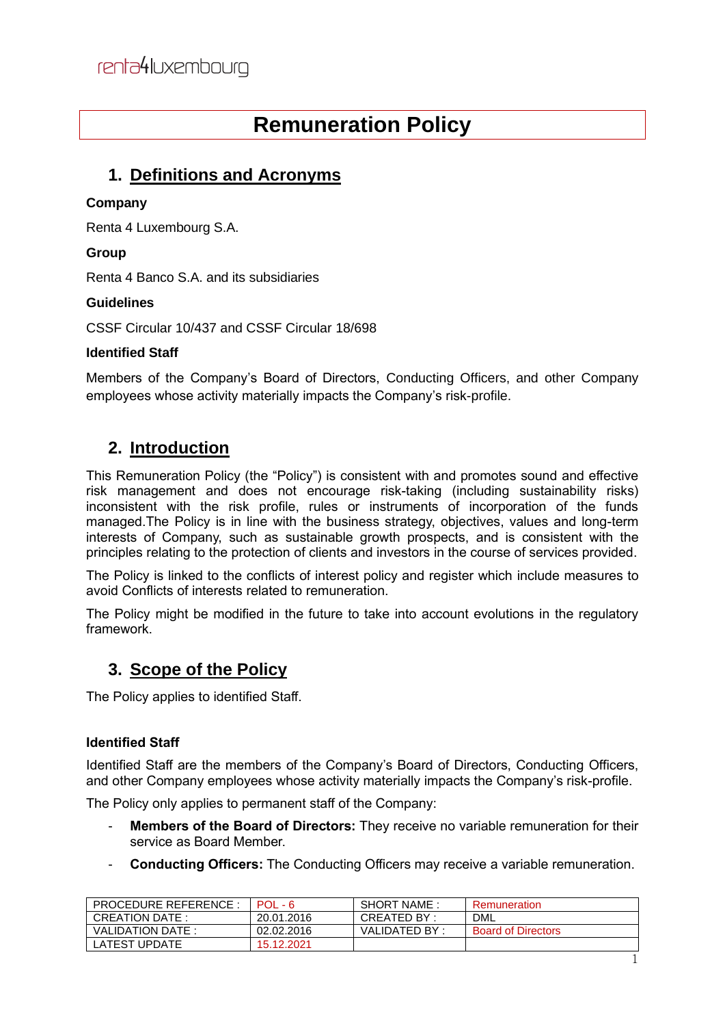# **Remuneration Policy**

### **1. Definitions and Acronyms**

#### **Company**

Renta 4 Luxembourg S.A.

#### **Group**

Renta 4 Banco S.A. and its subsidiaries

#### **Guidelines**

CSSF Circular 10/437 and CSSF Circular 18/698

#### **Identified Staff**

Members of the Company's Board of Directors, Conducting Officers, and other Company employees whose activity materially impacts the Company's risk-profile.

## **2. Introduction**

This Remuneration Policy (the "Policy") is consistent with and promotes sound and effective risk management and does not encourage risk-taking (including sustainability risks) inconsistent with the risk profile, rules or instruments of incorporation of the funds managed.The Policy is in line with the business strategy, objectives, values and long-term interests of Company, such as sustainable growth prospects, and is consistent with the principles relating to the protection of clients and investors in the course of services provided.

The Policy is linked to the conflicts of interest policy and register which include measures to avoid Conflicts of interests related to remuneration.

The Policy might be modified in the future to take into account evolutions in the regulatory framework.

### **3. Scope of the Policy**

The Policy applies to identified Staff.

#### **Identified Staff**

Identified Staff are the members of the Company's Board of Directors, Conducting Officers, and other Company employees whose activity materially impacts the Company's risk-profile.

The Policy only applies to permanent staff of the Company:

- **Members of the Board of Directors:** They receive no variable remuneration for their service as Board Member.
- **Conducting Officers:** The Conducting Officers may receive a variable remuneration.

| <b>PROCEDURE REFERENCE</b> | $POL - 6$  | <b>SHORT NAME:</b> | Remuneration              |
|----------------------------|------------|--------------------|---------------------------|
| CREATION DATE:             | 20.01.2016 | CREATED BY :       | DML                       |
| VALIDATION DATE:           | 02.02.2016 | VALIDATED BY:      | <b>Board of Directors</b> |
| LATEST UPDATE              | 15.12.2021 |                    |                           |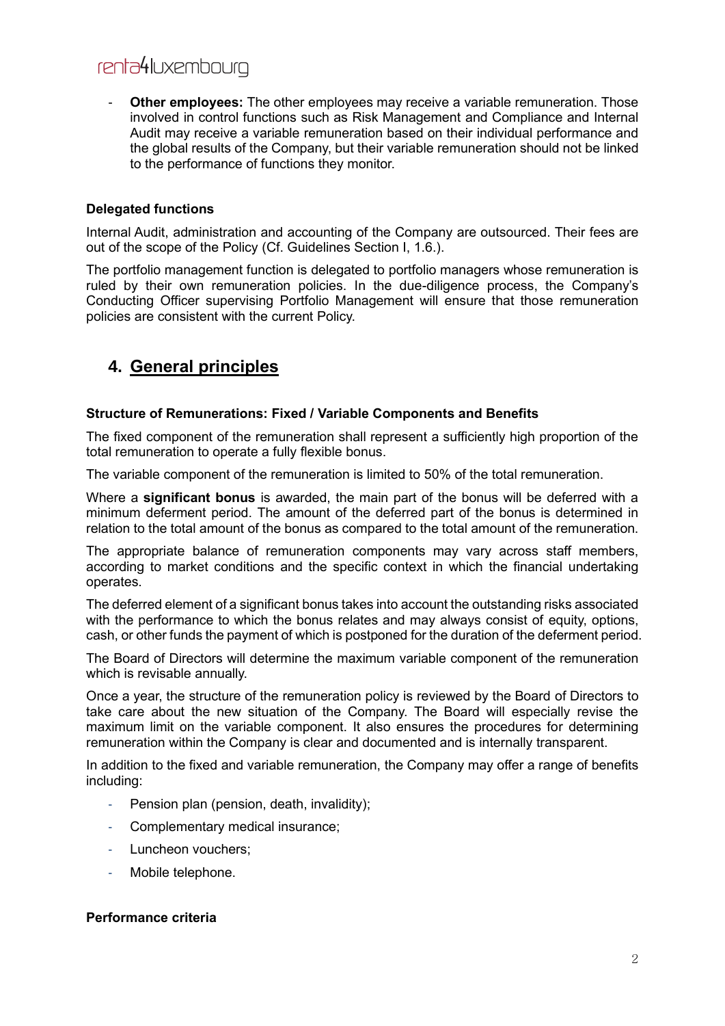**Other employees:** The other employees may receive a variable remuneration. Those involved in control functions such as Risk Management and Compliance and Internal Audit may receive a variable remuneration based on their individual performance and the global results of the Company, but their variable remuneration should not be linked to the performance of functions they monitor.

#### **Delegated functions**

Internal Audit, administration and accounting of the Company are outsourced. Their fees are out of the scope of the Policy (Cf. Guidelines Section I, 1.6.).

The portfolio management function is delegated to portfolio managers whose remuneration is ruled by their own remuneration policies. In the due-diligence process, the Company's Conducting Officer supervising Portfolio Management will ensure that those remuneration policies are consistent with the current Policy.

### **4. General principles**

#### **Structure of Remunerations: Fixed / Variable Components and Benefits**

The fixed component of the remuneration shall represent a sufficiently high proportion of the total remuneration to operate a fully flexible bonus.

The variable component of the remuneration is limited to 50% of the total remuneration.

Where a **significant bonus** is awarded, the main part of the bonus will be deferred with a minimum deferment period. The amount of the deferred part of the bonus is determined in relation to the total amount of the bonus as compared to the total amount of the remuneration.

The appropriate balance of remuneration components may vary across staff members, according to market conditions and the specific context in which the financial undertaking operates.

The deferred element of a significant bonus takes into account the outstanding risks associated with the performance to which the bonus relates and may always consist of equity, options, cash, or other funds the payment of which is postponed for the duration of the deferment period.

The Board of Directors will determine the maximum variable component of the remuneration which is revisable annually.

Once a year, the structure of the remuneration policy is reviewed by the Board of Directors to take care about the new situation of the Company. The Board will especially revise the maximum limit on the variable component. It also ensures the procedures for determining remuneration within the Company is clear and documented and is internally transparent.

In addition to the fixed and variable remuneration, the Company may offer a range of benefits including:

- Pension plan (pension, death, invalidity);
- Complementary medical insurance;
- Luncheon vouchers;
- Mobile telephone.

#### **Performance criteria**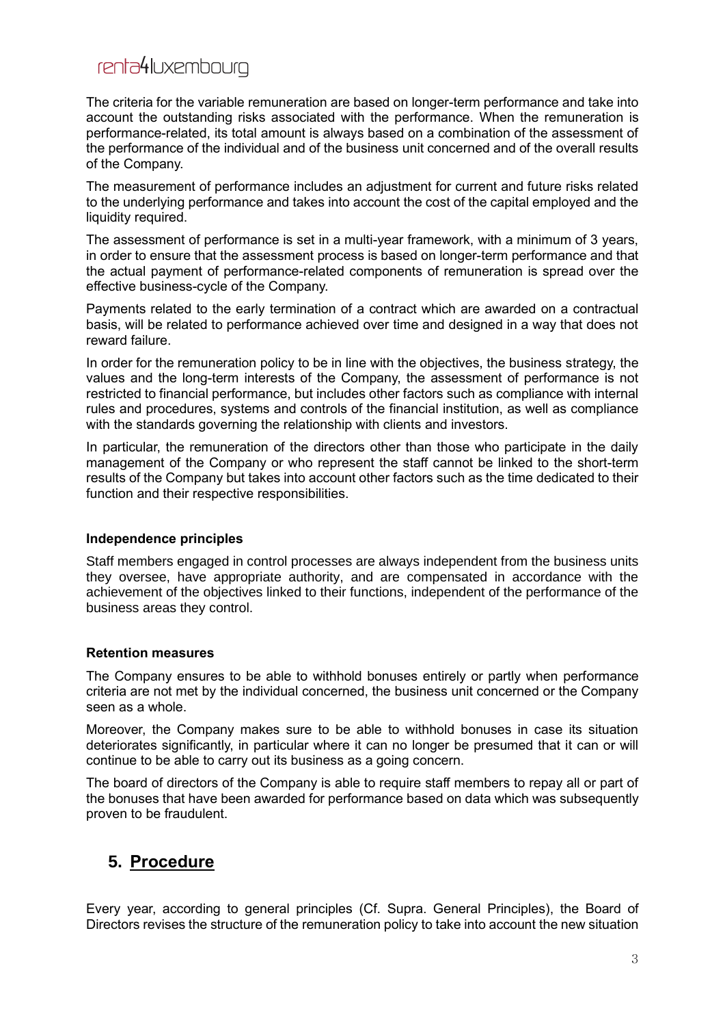The criteria for the variable remuneration are based on longer-term performance and take into account the outstanding risks associated with the performance. When the remuneration is performance-related, its total amount is always based on a combination of the assessment of the performance of the individual and of the business unit concerned and of the overall results of the Company.

The measurement of performance includes an adjustment for current and future risks related to the underlying performance and takes into account the cost of the capital employed and the liquidity required.

The assessment of performance is set in a multi-year framework, with a minimum of 3 years, in order to ensure that the assessment process is based on longer-term performance and that the actual payment of performance-related components of remuneration is spread over the effective business-cycle of the Company.

Payments related to the early termination of a contract which are awarded on a contractual basis, will be related to performance achieved over time and designed in a way that does not reward failure.

In order for the remuneration policy to be in line with the objectives, the business strategy, the values and the long-term interests of the Company, the assessment of performance is not restricted to financial performance, but includes other factors such as compliance with internal rules and procedures, systems and controls of the financial institution, as well as compliance with the standards governing the relationship with clients and investors.

In particular, the remuneration of the directors other than those who participate in the daily management of the Company or who represent the staff cannot be linked to the short-term results of the Company but takes into account other factors such as the time dedicated to their function and their respective responsibilities.

#### **Independence principles**

Staff members engaged in control processes are always independent from the business units they oversee, have appropriate authority, and are compensated in accordance with the achievement of the objectives linked to their functions, independent of the performance of the business areas they control.

#### **Retention measures**

The Company ensures to be able to withhold bonuses entirely or partly when performance criteria are not met by the individual concerned, the business unit concerned or the Company seen as a whole.

Moreover, the Company makes sure to be able to withhold bonuses in case its situation deteriorates significantly, in particular where it can no longer be presumed that it can or will continue to be able to carry out its business as a going concern.

The board of directors of the Company is able to require staff members to repay all or part of the bonuses that have been awarded for performance based on data which was subsequently proven to be fraudulent.

### **5. Procedure**

Every year, according to general principles (Cf. Supra. General Principles), the Board of Directors revises the structure of the remuneration policy to take into account the new situation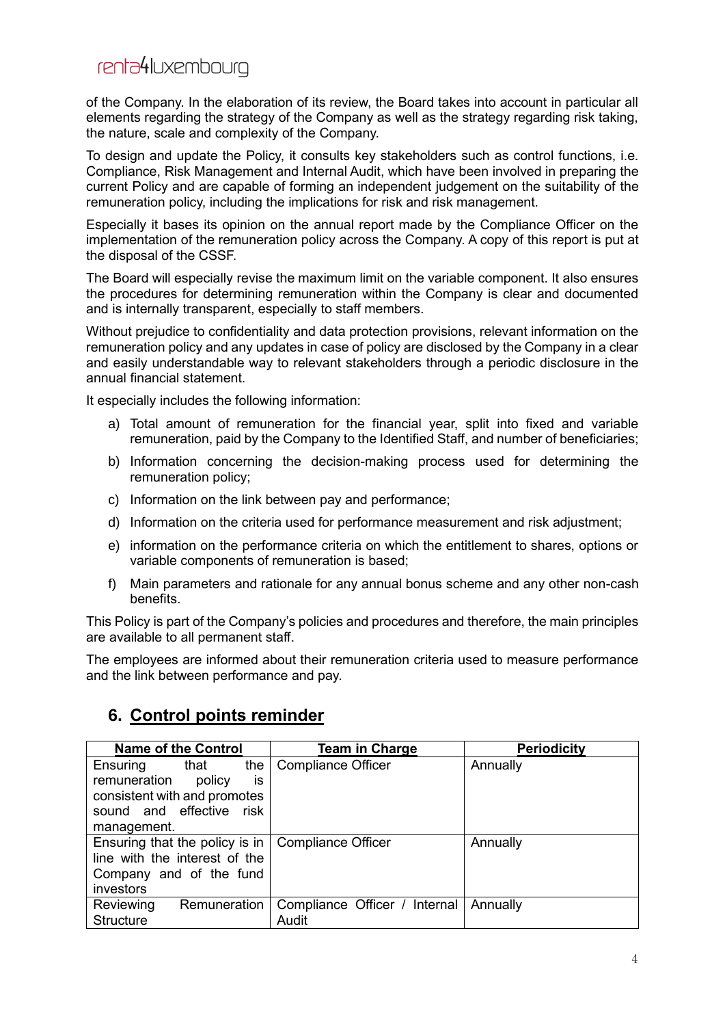of the Company. In the elaboration of its review, the Board takes into account in particular all elements regarding the strategy of the Company as well as the strategy regarding risk taking, the nature, scale and complexity of the Company.

To design and update the Policy, it consults key stakeholders such as control functions, i.e. Compliance, Risk Management and Internal Audit, which have been involved in preparing the current Policy and are capable of forming an independent judgement on the suitability of the remuneration policy, including the implications for risk and risk management.

Especially it bases its opinion on the annual report made by the Compliance Officer on the implementation of the remuneration policy across the Company. A copy of this report is put at the disposal of the CSSF.

The Board will especially revise the maximum limit on the variable component. It also ensures the procedures for determining remuneration within the Company is clear and documented and is internally transparent, especially to staff members.

Without prejudice to confidentiality and data protection provisions, relevant information on the remuneration policy and any updates in case of policy are disclosed by the Company in a clear and easily understandable way to relevant stakeholders through a periodic disclosure in the annual financial statement.

It especially includes the following information:

- a) Total amount of remuneration for the financial year, split into fixed and variable remuneration, paid by the Company to the Identified Staff, and number of beneficiaries;
- b) Information concerning the decision-making process used for determining the remuneration policy;
- c) Information on the link between pay and performance;
- d) Information on the criteria used for performance measurement and risk adjustment;
- e) information on the performance criteria on which the entitlement to shares, options or variable components of remuneration is based;
- f) Main parameters and rationale for any annual bonus scheme and any other non-cash benefits.

This Policy is part of the Company's policies and procedures and therefore, the main principles are available to all permanent staff.

The employees are informed about their remuneration criteria used to measure performance and the link between performance and pay.

### **6. Control points reminder**

|                                | <b>Name of the Control</b> |     | Team in Charge                | <b>Periodicity</b> |
|--------------------------------|----------------------------|-----|-------------------------------|--------------------|
| Ensuring                       | that                       | the | <b>Compliance Officer</b>     | Annually           |
| remuneration                   | policy                     | İS  |                               |                    |
| consistent with and promotes   |                            |     |                               |                    |
| sound and effective risk       |                            |     |                               |                    |
| management.                    |                            |     |                               |                    |
| Ensuring that the policy is in |                            |     | <b>Compliance Officer</b>     | Annually           |
| line with the interest of the  |                            |     |                               |                    |
| Company and of the fund        |                            |     |                               |                    |
| investors                      |                            |     |                               |                    |
| Reviewing                      | Remuneration               |     | Compliance Officer / Internal | Annually           |
| <b>Structure</b>               |                            |     | Audit                         |                    |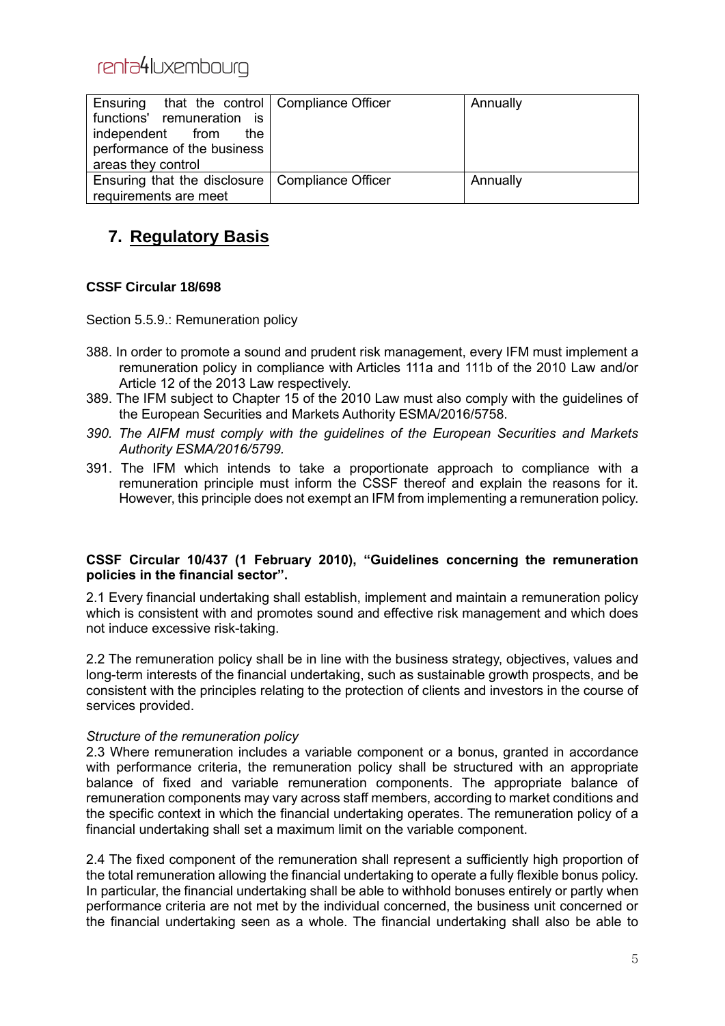| Ensuring that the control   Compliance Officer    | Annually |
|---------------------------------------------------|----------|
| functions' remuneration is                        |          |
| independent from<br>the                           |          |
| performance of the business                       |          |
| areas they control                                |          |
| Ensuring that the disclosure   Compliance Officer | Annually |
| requirements are meet                             |          |

### **7. Regulatory Basis**

#### **CSSF Circular 18/698**

Section 5.5.9.: Remuneration policy

- 388. In order to promote a sound and prudent risk management, every IFM must implement a remuneration policy in compliance with Articles 111a and 111b of the 2010 Law and/or Article 12 of the 2013 Law respectively.
- 389. The IFM subject to Chapter 15 of the 2010 Law must also comply with the guidelines of the European Securities and Markets Authority ESMA/2016/5758.
- *390. The AIFM must comply with the guidelines of the European Securities and Markets Authority ESMA/2016/5799.*
- 391. The IFM which intends to take a proportionate approach to compliance with a remuneration principle must inform the CSSF thereof and explain the reasons for it. However, this principle does not exempt an IFM from implementing a remuneration policy.

#### **CSSF Circular 10/437 (1 February 2010), "Guidelines concerning the remuneration policies in the financial sector".**

2.1 Every financial undertaking shall establish, implement and maintain a remuneration policy which is consistent with and promotes sound and effective risk management and which does not induce excessive risk-taking.

2.2 The remuneration policy shall be in line with the business strategy, objectives, values and long-term interests of the financial undertaking, such as sustainable growth prospects, and be consistent with the principles relating to the protection of clients and investors in the course of services provided.

#### *Structure of the remuneration policy*

2.3 Where remuneration includes a variable component or a bonus, granted in accordance with performance criteria, the remuneration policy shall be structured with an appropriate balance of fixed and variable remuneration components. The appropriate balance of remuneration components may vary across staff members, according to market conditions and the specific context in which the financial undertaking operates. The remuneration policy of a financial undertaking shall set a maximum limit on the variable component.

2.4 The fixed component of the remuneration shall represent a sufficiently high proportion of the total remuneration allowing the financial undertaking to operate a fully flexible bonus policy. In particular, the financial undertaking shall be able to withhold bonuses entirely or partly when performance criteria are not met by the individual concerned, the business unit concerned or the financial undertaking seen as a whole. The financial undertaking shall also be able to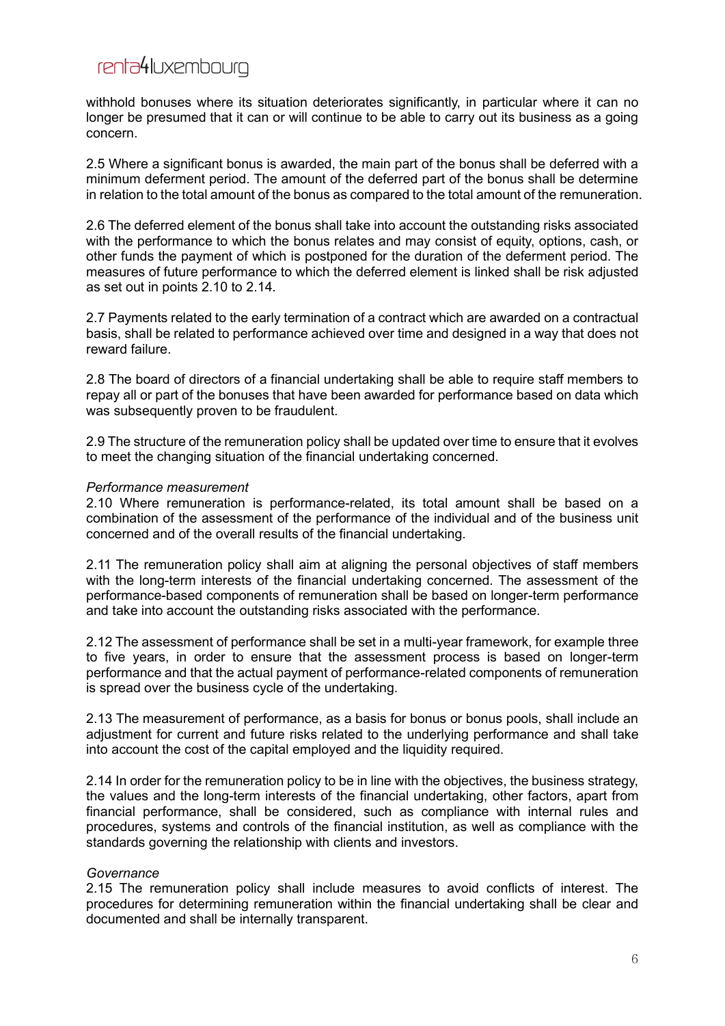withhold bonuses where its situation deteriorates significantly, in particular where it can no longer be presumed that it can or will continue to be able to carry out its business as a going concern.

2.5 Where a significant bonus is awarded, the main part of the bonus shall be deferred with a minimum deferment period. The amount of the deferred part of the bonus shall be determine in relation to the total amount of the bonus as compared to the total amount of the remuneration.

2.6 The deferred element of the bonus shall take into account the outstanding risks associated with the performance to which the bonus relates and may consist of equity, options, cash, or other funds the payment of which is postponed for the duration of the deferment period. The measures of future performance to which the deferred element is linked shall be risk adjusted as set out in points 2.10 to 2.14.

2.7 Payments related to the early termination of a contract which are awarded on a contractual basis, shall be related to performance achieved over time and designed in a way that does not reward failure.

2.8 The board of directors of a financial undertaking shall be able to require staff members to repay all or part of the bonuses that have been awarded for performance based on data which was subsequently proven to be fraudulent.

2.9 The structure of the remuneration policy shall be updated over time to ensure that it evolves to meet the changing situation of the financial undertaking concerned.

#### *Performance measurement*

2.10 Where remuneration is performance-related, its total amount shall be based on a combination of the assessment of the performance of the individual and of the business unit concerned and of the overall results of the financial undertaking.

2.11 The remuneration policy shall aim at aligning the personal objectives of staff members with the long-term interests of the financial undertaking concerned. The assessment of the performance-based components of remuneration shall be based on longer-term performance and take into account the outstanding risks associated with the performance.

2.12 The assessment of performance shall be set in a multi-year framework, for example three to five years, in order to ensure that the assessment process is based on longer-term performance and that the actual payment of performance-related components of remuneration is spread over the business cycle of the undertaking.

2.13 The measurement of performance, as a basis for bonus or bonus pools, shall include an adjustment for current and future risks related to the underlying performance and shall take into account the cost of the capital employed and the liquidity required.

2.14 In order for the remuneration policy to be in line with the objectives, the business strategy, the values and the long-term interests of the financial undertaking, other factors, apart from financial performance, shall be considered, such as compliance with internal rules and procedures, systems and controls of the financial institution, as well as compliance with the standards governing the relationship with clients and investors.

#### *Governance*

2.15 The remuneration policy shall include measures to avoid conflicts of interest. The procedures for determining remuneration within the financial undertaking shall be clear and documented and shall be internally transparent.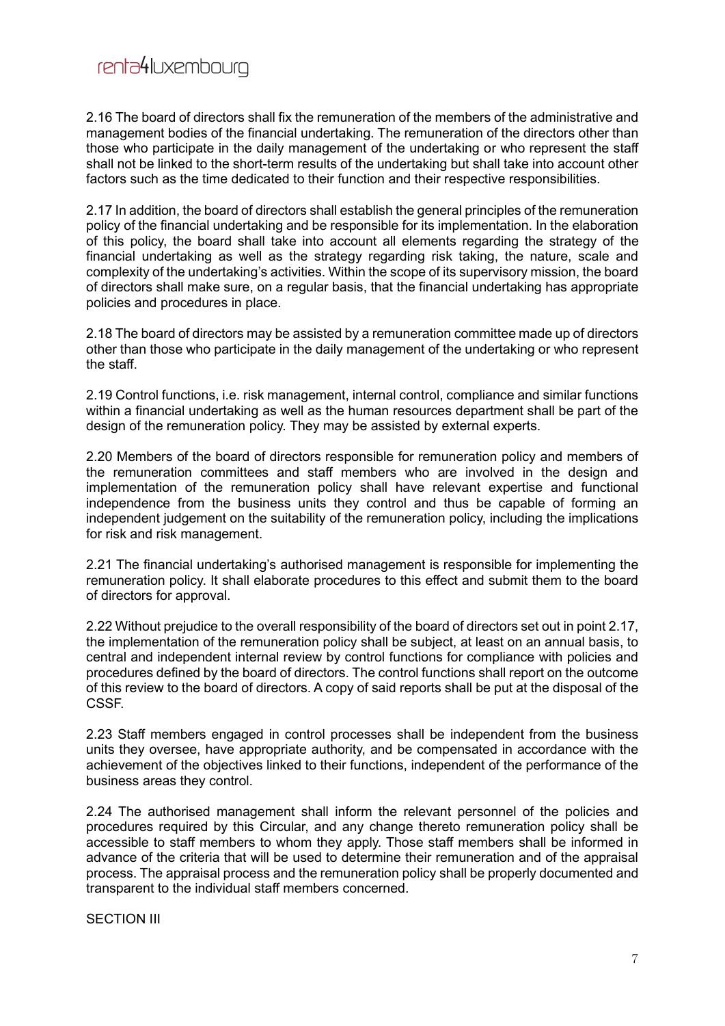2.16 The board of directors shall fix the remuneration of the members of the administrative and management bodies of the financial undertaking. The remuneration of the directors other than those who participate in the daily management of the undertaking or who represent the staff shall not be linked to the short-term results of the undertaking but shall take into account other factors such as the time dedicated to their function and their respective responsibilities.

2.17 In addition, the board of directors shall establish the general principles of the remuneration policy of the financial undertaking and be responsible for its implementation. In the elaboration of this policy, the board shall take into account all elements regarding the strategy of the financial undertaking as well as the strategy regarding risk taking, the nature, scale and complexity of the undertaking's activities. Within the scope of its supervisory mission, the board of directors shall make sure, on a regular basis, that the financial undertaking has appropriate policies and procedures in place.

2.18 The board of directors may be assisted by a remuneration committee made up of directors other than those who participate in the daily management of the undertaking or who represent the staff.

2.19 Control functions, i.e. risk management, internal control, compliance and similar functions within a financial undertaking as well as the human resources department shall be part of the design of the remuneration policy. They may be assisted by external experts.

2.20 Members of the board of directors responsible for remuneration policy and members of the remuneration committees and staff members who are involved in the design and implementation of the remuneration policy shall have relevant expertise and functional independence from the business units they control and thus be capable of forming an independent judgement on the suitability of the remuneration policy, including the implications for risk and risk management.

2.21 The financial undertaking's authorised management is responsible for implementing the remuneration policy. It shall elaborate procedures to this effect and submit them to the board of directors for approval.

2.22 Without prejudice to the overall responsibility of the board of directors set out in point 2.17, the implementation of the remuneration policy shall be subject, at least on an annual basis, to central and independent internal review by control functions for compliance with policies and procedures defined by the board of directors. The control functions shall report on the outcome of this review to the board of directors. A copy of said reports shall be put at the disposal of the CSSF.

2.23 Staff members engaged in control processes shall be independent from the business units they oversee, have appropriate authority, and be compensated in accordance with the achievement of the objectives linked to their functions, independent of the performance of the business areas they control.

2.24 The authorised management shall inform the relevant personnel of the policies and procedures required by this Circular, and any change thereto remuneration policy shall be accessible to staff members to whom they apply. Those staff members shall be informed in advance of the criteria that will be used to determine their remuneration and of the appraisal process. The appraisal process and the remuneration policy shall be properly documented and transparent to the individual staff members concerned.

SECTION III